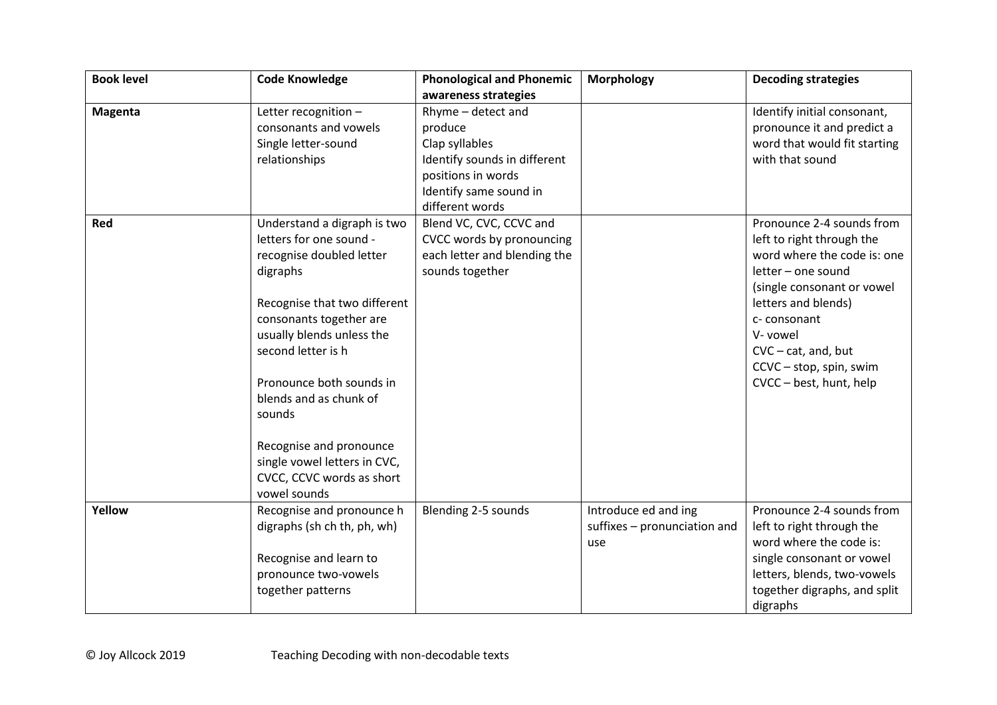| <b>Book level</b> | <b>Code Knowledge</b>        | <b>Phonological and Phonemic</b> | <b>Morphology</b>            | <b>Decoding strategies</b>   |
|-------------------|------------------------------|----------------------------------|------------------------------|------------------------------|
|                   |                              | awareness strategies             |                              |                              |
| <b>Magenta</b>    | Letter recognition -         | Rhyme - detect and               |                              | Identify initial consonant,  |
|                   | consonants and vowels        | produce                          |                              | pronounce it and predict a   |
|                   | Single letter-sound          | Clap syllables                   |                              | word that would fit starting |
|                   | relationships                | Identify sounds in different     |                              | with that sound              |
|                   |                              | positions in words               |                              |                              |
|                   |                              | Identify same sound in           |                              |                              |
|                   |                              | different words                  |                              |                              |
| Red               | Understand a digraph is two  | Blend VC, CVC, CCVC and          |                              | Pronounce 2-4 sounds from    |
|                   | letters for one sound -      | CVCC words by pronouncing        |                              | left to right through the    |
|                   | recognise doubled letter     | each letter and blending the     |                              | word where the code is: one  |
|                   | digraphs                     | sounds together                  |                              | letter - one sound           |
|                   |                              |                                  |                              | (single consonant or vowel   |
|                   | Recognise that two different |                                  |                              | letters and blends)          |
|                   | consonants together are      |                                  |                              | c-consonant                  |
|                   | usually blends unless the    |                                  |                              | V- vowel                     |
|                   | second letter is h           |                                  |                              | $CVC - cat$ , and, but       |
|                   |                              |                                  |                              | CCVC - stop, spin, swim      |
|                   | Pronounce both sounds in     |                                  |                              | CVCC - best, hunt, help      |
|                   | blends and as chunk of       |                                  |                              |                              |
|                   | sounds                       |                                  |                              |                              |
|                   | Recognise and pronounce      |                                  |                              |                              |
|                   | single vowel letters in CVC, |                                  |                              |                              |
|                   | CVCC, CCVC words as short    |                                  |                              |                              |
|                   | vowel sounds                 |                                  |                              |                              |
| Yellow            | Recognise and pronounce h    | Blending 2-5 sounds              | Introduce ed and ing         | Pronounce 2-4 sounds from    |
|                   | digraphs (sh ch th, ph, wh)  |                                  | suffixes - pronunciation and | left to right through the    |
|                   |                              |                                  | use                          | word where the code is:      |
|                   | Recognise and learn to       |                                  |                              | single consonant or vowel    |
|                   | pronounce two-vowels         |                                  |                              | letters, blends, two-vowels  |
|                   | together patterns            |                                  |                              | together digraphs, and split |
|                   |                              |                                  |                              | digraphs                     |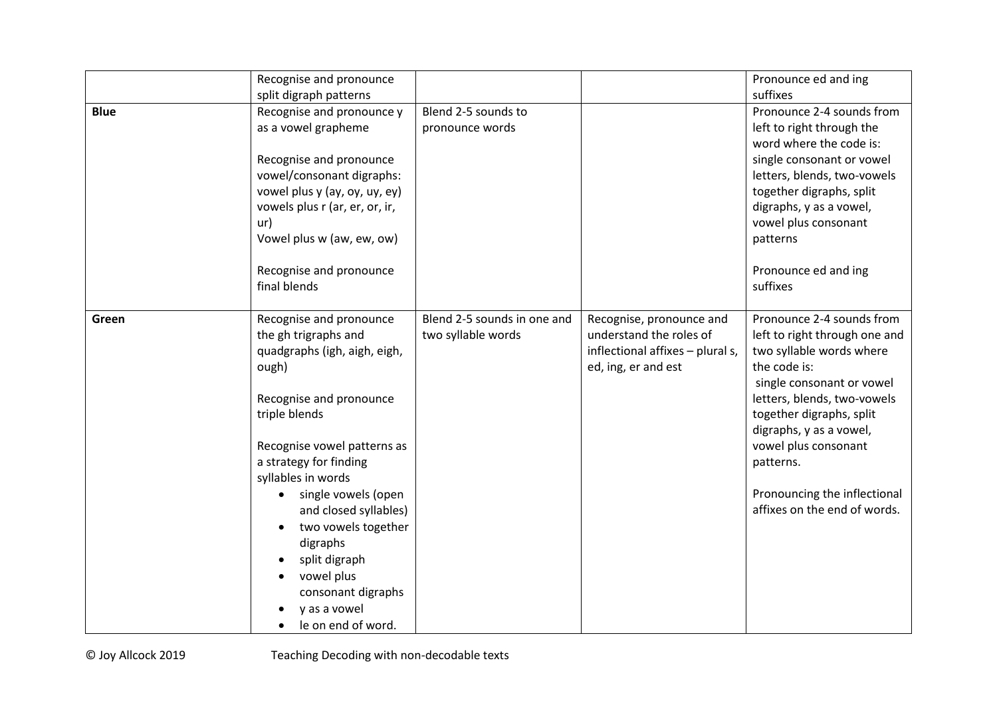|             | Recognise and pronounce          |                             |                                  | Pronounce ed and ing          |
|-------------|----------------------------------|-----------------------------|----------------------------------|-------------------------------|
|             | split digraph patterns           |                             |                                  | suffixes                      |
| <b>Blue</b> | Recognise and pronounce y        | Blend 2-5 sounds to         |                                  | Pronounce 2-4 sounds from     |
|             | as a vowel grapheme              | pronounce words             |                                  | left to right through the     |
|             |                                  |                             |                                  | word where the code is:       |
|             | Recognise and pronounce          |                             |                                  | single consonant or vowel     |
|             | vowel/consonant digraphs:        |                             |                                  | letters, blends, two-vowels   |
|             | vowel plus y (ay, oy, uy, ey)    |                             |                                  | together digraphs, split      |
|             | vowels plus r (ar, er, or, ir,   |                             |                                  | digraphs, y as a vowel,       |
|             | ur)                              |                             |                                  | vowel plus consonant          |
|             | Vowel plus w (aw, ew, ow)        |                             |                                  | patterns                      |
|             | Recognise and pronounce          |                             |                                  | Pronounce ed and ing          |
|             | final blends                     |                             |                                  | suffixes                      |
| Green       | Recognise and pronounce          | Blend 2-5 sounds in one and | Recognise, pronounce and         | Pronounce 2-4 sounds from     |
|             | the gh trigraphs and             | two syllable words          | understand the roles of          | left to right through one and |
|             | quadgraphs (igh, aigh, eigh,     |                             | inflectional affixes - plural s, | two syllable words where      |
|             | ough)                            |                             | ed, ing, er and est              | the code is:                  |
|             |                                  |                             |                                  | single consonant or vowel     |
|             | Recognise and pronounce          |                             |                                  | letters, blends, two-vowels   |
|             | triple blends                    |                             |                                  | together digraphs, split      |
|             |                                  |                             |                                  | digraphs, y as a vowel,       |
|             | Recognise vowel patterns as      |                             |                                  | vowel plus consonant          |
|             | a strategy for finding           |                             |                                  | patterns.                     |
|             | syllables in words               |                             |                                  |                               |
|             | single vowels (open<br>$\bullet$ |                             |                                  | Pronouncing the inflectional  |
|             | and closed syllables)            |                             |                                  | affixes on the end of words.  |
|             | two vowels together              |                             |                                  |                               |
|             | digraphs                         |                             |                                  |                               |
|             | split digraph                    |                             |                                  |                               |
|             | vowel plus                       |                             |                                  |                               |
|             | consonant digraphs               |                             |                                  |                               |
|             | y as a vowel                     |                             |                                  |                               |
|             | le on end of word.               |                             |                                  |                               |